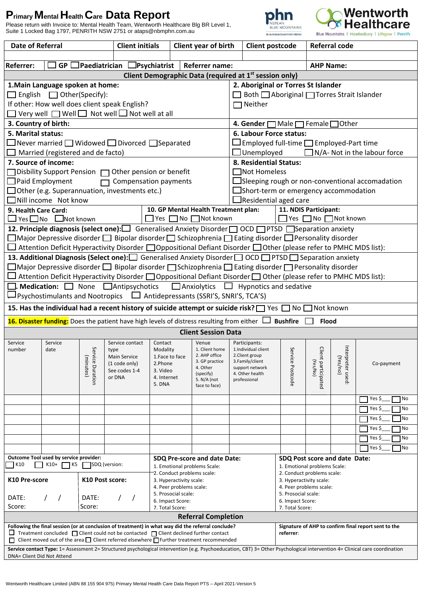## **PrimaryMentalHealthCare Data Report**

Please return with Invoice to: Mental Health Team, Wentworth Healthcare Blg BR Level 1, Suite 1 Locked Bag 1797, PENRITH NSW 2751 or ataps@nbmphn.com.au





| $GP$ Paediatrician Psychiatrist  <br><b>Referrer:</b>                                                                                                                                                                                                                                   |                                                                    | <b>Client initials</b>                             | Client year of birth                         | <b>Client postcode</b>                              |                                                    |                             | <b>Referral code</b> |                                                        |  |
|-----------------------------------------------------------------------------------------------------------------------------------------------------------------------------------------------------------------------------------------------------------------------------------------|--------------------------------------------------------------------|----------------------------------------------------|----------------------------------------------|-----------------------------------------------------|----------------------------------------------------|-----------------------------|----------------------|--------------------------------------------------------|--|
|                                                                                                                                                                                                                                                                                         |                                                                    |                                                    |                                              |                                                     |                                                    |                             |                      |                                                        |  |
|                                                                                                                                                                                                                                                                                         |                                                                    |                                                    | Referrer name:                               |                                                     |                                                    | <b>AHP Name:</b>            |                      |                                                        |  |
|                                                                                                                                                                                                                                                                                         | Client Demographic Data (required at 1 <sup>st</sup> session only) |                                                    |                                              |                                                     |                                                    |                             |                      |                                                        |  |
| 2. Aboriginal or Torres St Islander<br>1. Main Language spoken at home:                                                                                                                                                                                                                 |                                                                    |                                                    |                                              |                                                     |                                                    |                             |                      |                                                        |  |
| $\Box$ English $\Box$ Other(Specify):                                                                                                                                                                                                                                                   |                                                                    |                                                    | ■ Both △ Aboriginal △ Torres Strait Islander |                                                     |                                                    |                             |                      |                                                        |  |
| If other: How well does client speak English?                                                                                                                                                                                                                                           |                                                                    |                                                    |                                              | $\Box$ Neither                                      |                                                    |                             |                      |                                                        |  |
| $\Box$ Very well $\Box$ Well $\Box$ Not well $\Box$ Not well at all                                                                                                                                                                                                                     |                                                                    |                                                    |                                              |                                                     |                                                    |                             |                      |                                                        |  |
| 3. Country of birth:                                                                                                                                                                                                                                                                    |                                                                    |                                                    |                                              | 4. Gender $\Box$ Male $\Box$ Female $\Box$ Other    |                                                    |                             |                      |                                                        |  |
| 5. Marital status:                                                                                                                                                                                                                                                                      |                                                                    |                                                    |                                              | 6. Labour Force status:                             |                                                    |                             |                      |                                                        |  |
| $\Box$ Never married $\Box$ Widowed $\Box$ Divorced $\Box$ Separated                                                                                                                                                                                                                    |                                                                    |                                                    |                                              | $\Box$ Employed full-time $\Box$ Employed-Part time |                                                    |                             |                      |                                                        |  |
| Married (registered and de facto)                                                                                                                                                                                                                                                       | $\Box$ Unemployed<br>$\Box$ N/A- Not in the labour force           |                                                    |                                              |                                                     |                                                    |                             |                      |                                                        |  |
| 7. Source of income:                                                                                                                                                                                                                                                                    | 8. Residential Status:                                             |                                                    |                                              |                                                     |                                                    |                             |                      |                                                        |  |
| Disbility Support Pension □ Other pension or benefit                                                                                                                                                                                                                                    |                                                                    |                                                    |                                              | $\Box$ Not Homeless                                 |                                                    |                             |                      |                                                        |  |
| $\Box$ Paid Employment                                                                                                                                                                                                                                                                  | <b>Compensation payments</b>                                       |                                                    |                                              |                                                     |                                                    |                             |                      | $\Box$ Sleeping rough or non-conventional accomadation |  |
| $\Box$ Other (e.g. Superannuation, investments etc.)                                                                                                                                                                                                                                    |                                                                    |                                                    |                                              | $\square$ Short-term or emergency accommodation     |                                                    |                             |                      |                                                        |  |
| $\Box$ Nill income Not know                                                                                                                                                                                                                                                             |                                                                    |                                                    |                                              | $\Box$ Residential aged care                        |                                                    |                             |                      |                                                        |  |
| 9. Health Care Card:                                                                                                                                                                                                                                                                    |                                                                    |                                                    | 10. GP Mental Health Treatment plan:         |                                                     | 11. NDIS Participant:                              |                             |                      |                                                        |  |
| ■ Yes ■ No ■ Not known<br>■ Yes ■ No ■ Not known<br>$\Box$ Yes $\Box$ No $\Box$ Not known                                                                                                                                                                                               |                                                                    |                                                    |                                              |                                                     |                                                    |                             |                      |                                                        |  |
| 12. Principle diagnosis (select one): Generalised Anxiety Disorder   OCD   PTSD   Separation anxiety                                                                                                                                                                                    |                                                                    |                                                    |                                              |                                                     |                                                    |                             |                      |                                                        |  |
| $\Box$ Major Depressive disorder $\Box$ Bipolar disorder $\Box$ Schizophrenia $\Box$ Eating disorder $\Box$ Personality disorder                                                                                                                                                        |                                                                    |                                                    |                                              |                                                     |                                                    |                             |                      |                                                        |  |
| Attention Deficit Hyperactivity Disorder □Oppositional Defiant Disorder □Other (please refer to PMHC MDS list):                                                                                                                                                                         |                                                                    |                                                    |                                              |                                                     |                                                    |                             |                      |                                                        |  |
| 13. Additional Diagnosis (Select one): Generalised Anxiety Disorder   OCD   PTSD Separation anxiety                                                                                                                                                                                     |                                                                    |                                                    |                                              |                                                     |                                                    |                             |                      |                                                        |  |
| $\Box$ Major Depressive disorder $\Box$ Bipolar disorder $\Box$ Schizophrenia $\Box$ Eating disorder $\Box$ Personality disorder                                                                                                                                                        |                                                                    |                                                    |                                              |                                                     |                                                    |                             |                      |                                                        |  |
| Attention Deficit Hyperactivity Disorder □ Oppositional Defiant Disorder □ Other (please refer to PMHC MDS list):                                                                                                                                                                       |                                                                    |                                                    |                                              |                                                     |                                                    |                             |                      |                                                        |  |
| $\Box$ . Medication: $\Box$ None $\Box$ Antipsychotics $\Box$ Anxiolytics $\Box$ Hypnotics and sedative                                                                                                                                                                                 |                                                                    |                                                    |                                              |                                                     |                                                    |                             |                      |                                                        |  |
| L⊥Psychostimulants and Nootropics □ Antidepressants (SSRI'S, SNRI'S, TCA'S)                                                                                                                                                                                                             |                                                                    |                                                    |                                              |                                                     |                                                    |                             |                      |                                                        |  |
| 15. Has the individual had a recent history of suicide attempt or suicide risk? The Samble Divid known                                                                                                                                                                                  |                                                                    |                                                    |                                              |                                                     |                                                    |                             |                      |                                                        |  |
| 16. Disaster funding: Does the patient have high levels of distress resulting from either <b>D</b> Bushfire                                                                                                                                                                             |                                                                    |                                                    |                                              |                                                     |                                                    | <b>Flood</b>                |                      |                                                        |  |
|                                                                                                                                                                                                                                                                                         |                                                                    |                                                    | <b>Client Session Data</b>                   |                                                     |                                                    |                             |                      |                                                        |  |
| Service<br>Service                                                                                                                                                                                                                                                                      | Service contact                                                    | Contact                                            | Venue                                        | Participants:                                       |                                                    |                             |                      |                                                        |  |
| number<br>date                                                                                                                                                                                                                                                                          | type                                                               | Modality                                           | 1. Client home                               | 1.Individual client                                 | Servi                                              | Client                      |                      |                                                        |  |
|                                                                                                                                                                                                                                                                                         | Main Service                                                       | 1. Face to face                                    | 2. AHP office                                |                                                     |                                                    |                             |                      |                                                        |  |
|                                                                                                                                                                                                                                                                                         |                                                                    |                                                    |                                              | 2. Client group                                     |                                                    |                             |                      |                                                        |  |
|                                                                                                                                                                                                                                                                                         | (1 code only)                                                      | 2.Phone                                            | 3. GP practice<br>4. Other                   | 3.Family/client<br>support network                  |                                                    |                             |                      | Co-payment                                             |  |
| (minutes)                                                                                                                                                                                                                                                                               | See codes 1-4                                                      | 3. Video                                           | (specify)                                    | 4. Other health                                     |                                                    |                             | (Yes/no)             |                                                        |  |
| Service Duration                                                                                                                                                                                                                                                                        | or DNA                                                             | 4. Internet<br>5. DNA                              | 5. N/A (not<br>face to face)                 | professional                                        | ce Postcode                                        |                             | Interpreter used:    |                                                        |  |
|                                                                                                                                                                                                                                                                                         |                                                                    |                                                    |                                              |                                                     |                                                    | tt participated<br>(Yes/No) |                      |                                                        |  |
|                                                                                                                                                                                                                                                                                         |                                                                    |                                                    |                                              |                                                     |                                                    |                             |                      | Yes \$<br>No                                           |  |
|                                                                                                                                                                                                                                                                                         |                                                                    |                                                    |                                              |                                                     |                                                    |                             |                      | Yes \$<br>No                                           |  |
|                                                                                                                                                                                                                                                                                         |                                                                    |                                                    |                                              |                                                     |                                                    |                             |                      | 1No<br>Yes \$                                          |  |
|                                                                                                                                                                                                                                                                                         |                                                                    |                                                    |                                              |                                                     |                                                    |                             |                      | Yes \$<br>No                                           |  |
|                                                                                                                                                                                                                                                                                         |                                                                    |                                                    |                                              |                                                     |                                                    |                             |                      | Yes \$<br>No                                           |  |
|                                                                                                                                                                                                                                                                                         |                                                                    |                                                    |                                              |                                                     |                                                    |                             |                      | Yes \$<br>1No                                          |  |
| Outcome Tool used by service provider:                                                                                                                                                                                                                                                  |                                                                    |                                                    | SDQ Pre-score and date Date:                 |                                                     | SDQ Post score and date Date:                      |                             |                      |                                                        |  |
| K10+ K5 SDQ (version:<br>K10                                                                                                                                                                                                                                                            |                                                                    | 1. Emotional problems Scale:                       |                                              |                                                     | 1. Emotional problems Scale:                       |                             |                      |                                                        |  |
|                                                                                                                                                                                                                                                                                         |                                                                    | -2. Conduct problems scale:                        |                                              |                                                     | 2. Conduct problems scale:                         |                             |                      |                                                        |  |
| K10 Pre-score<br>K10 Post score:                                                                                                                                                                                                                                                        |                                                                    | 3. Hyperactivity scale:<br>4. Peer problems scale: |                                              |                                                     | 3. Hyperactivity scale:<br>4. Peer problems scale: |                             |                      |                                                        |  |
|                                                                                                                                                                                                                                                                                         |                                                                    | 5. Prosocial scale:                                |                                              |                                                     | 5. Prosocial scale:                                |                             |                      |                                                        |  |
| DATE:<br>DATE:                                                                                                                                                                                                                                                                          |                                                                    | 6. Impact Score:                                   |                                              |                                                     | 6. Impact Score:                                   |                             |                      |                                                        |  |
| Score:<br>Score:                                                                                                                                                                                                                                                                        |                                                                    | 7. Total Score:                                    |                                              |                                                     | 7. Total Score:                                    |                             |                      |                                                        |  |
|                                                                                                                                                                                                                                                                                         |                                                                    |                                                    | <b>Referral Completion</b>                   |                                                     |                                                    |                             |                      |                                                        |  |
| Following the final session (or at conclusion of treatment) in what way did the referral conclude?<br>$\Box$ Treatment concluded $\Box$ Client could not be contacted $\Box$ Client declined further contact                                                                            |                                                                    |                                                    |                                              |                                                     | referrer:                                          |                             |                      | Signature of AHP to confirm final report sent to the   |  |
| $\Box$ Client moved out of the area $\Box$ Client referred elsewhere $\Box$ Further treatment recommended<br>Service contact Type: 1= Assessment 2= Structured psychological intervention (e.g. Psychoeducation, CBT) 3= Other Psychological intervention 4= Clinical care coordination |                                                                    |                                                    |                                              |                                                     |                                                    |                             |                      |                                                        |  |